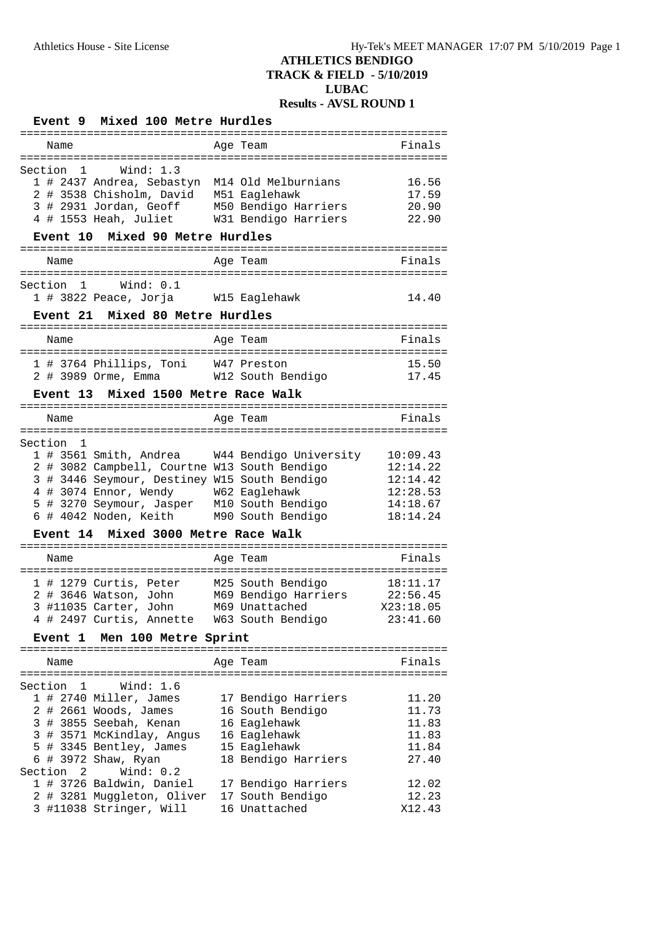#### **Event 9 Mixed 100 Metre Hurdles** ================================================================ Name **Age Team** Age Team **Finals** ================================================================ Section 1 Wind: 1.3 1 # 2437 Andrea, Sebastyn M14 Old Melburnians 16.56 2 # 3538 Chisholm, David M51 Eaglehawk 17.59 3 # 2931 Jordan, Geoff M50 Bendigo Harriers 20.90 4 # 1553 Heah, Juliet W31 Bendigo Harriers 22.90 **Event 10 Mixed 90 Metre Hurdles** ================================================================ Name **Age Team Age Team** Finals ================================================================ Section 1 Wind: 0.1 1 # 3822 Peace, Jorja W15 Eaglehawk 14.40 **Event 21 Mixed 80 Metre Hurdles** ================================================================ Name Age Team Finals ================================================================ 1 # 3764 Phillips, Toni W47 Preston 15.50 2 # 3989 Orme, Emma W12 South Bendigo 17.45 **Event 13 Mixed 1500 Metre Race Walk** ================================================================ Name **Age Team Age Team** Finals ================================================================ Section 1 1 # 3561 Smith, Andrea W44 Bendigo University 10:09.43 2 # 3082 Campbell, Courtne W13 South Bendigo 12:14.22 3 # 3446 Seymour, Destiney W15 South Bendigo 12:14.42 4 # 3074 Ennor, Wendy W62 Eaglehawk 12:28.53 5 # 3270 Seymour, Jasper M10 South Bendigo 14:18.67 6 # 4042 Noden, Keith M90 South Bendigo 18:14.24 **Event 14 Mixed 3000 Metre Race Walk** ================================================================ Name **Age Team** Age Team Finals ================================================================ 1 # 1279 Curtis, Peter M25 South Bendigo 18:11.17 2 # 3646 Watson, John M69 Bendigo Harriers 22:56.45 3 #11035 Carter, John M69 Unattached X23:18.05 4 # 2497 Curtis, Annette W63 South Bendigo 23:41.60 **Event 1 Men 100 Metre Sprint** ================================================================ Name **Age Team Age Team** Finals ================================================================ Section 1 Wind: 1.6 1 # 2740 Miller, James 17 Bendigo Harriers 11.20 2 # 2661 Woods, James 16 South Bendigo 11.73 3 # 3855 Seebah, Kenan 16 Eaglehawk 11.83 3 # 3571 McKindlay, Angus 16 Eaglehawk 11.83 5 # 3345 Bentley, James 15 Eaglehawk 11.84 6 # 3972 Shaw, Ryan 18 Bendigo Harriers 27.40 Section 2 Wind: 0.2 1 # 3726 Baldwin, Daniel 17 Bendigo Harriers 12.02 2 # 3281 Muggleton, Oliver 17 South Bendigo 12.23 3 #11038 Stringer, Will 16 Unattached X12.43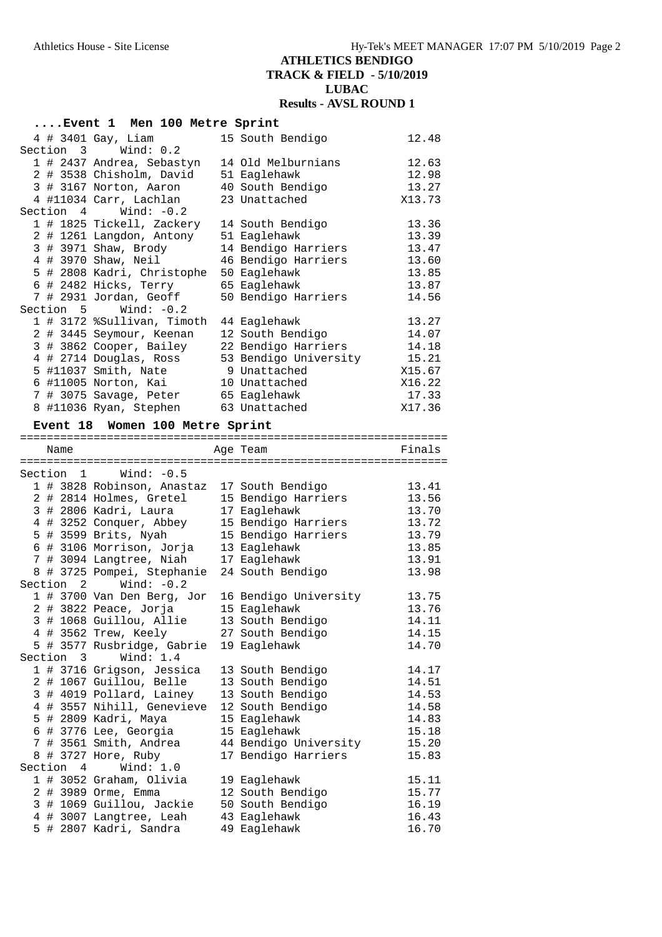|         |           | Event 1 Men 100 Metre Sprint                      |                              |                |
|---------|-----------|---------------------------------------------------|------------------------------|----------------|
|         |           | 4 # 3401 Gay, Liam                                | 15 South Bendigo             | 12.48          |
|         |           | Section 3 Wind: 0.2                               |                              |                |
|         |           | 1 # 2437 Andrea, Sebastyn                         | 14 Old Melburnians           | 12.63          |
|         |           | 2 # 3538 Chisholm, David                          | 51 Eaglehawk                 | 12.98          |
|         |           | 3 # 3167 Norton, Aaron                            | 40 South Bendigo             | 13.27          |
|         |           | 4 #11034 Carr, Lachlan                            | 23 Unattached                | X13.73         |
|         |           | Section $4$ Wind: $-0.2$                          |                              |                |
|         |           | 1 # 1825 Tickell, Zackery                         | 14 South Bendigo             | 13.36          |
|         |           | 2 # 1261 Langdon, Antony                          | 51 Eaglehawk                 | 13.39          |
|         |           | 3 # 3971 Shaw, Brody                              | 14 Bendigo Harriers          | 13.47          |
|         |           | 4 # 3970 Shaw, Neil                               | 46 Bendigo Harriers          | 13.60          |
|         |           | 5 # 2808 Kadri, Christophe                        | 50 Eaglehawk                 | 13.85          |
|         |           | 6 # 2482 Hicks, Terry                             | 65 Eaglehawk                 | 13.87          |
|         |           | 7 # 2931 Jordan, Geoff                            | 50 Bendigo Harriers          | 14.56          |
|         | Section 5 | Wind: $-0.2$                                      |                              |                |
|         |           | 1 # 3172 %Sullivan, Timoth                        | 44 Eaglehawk                 | 13.27          |
|         |           | 2 # 3445 Seymour, Keenan                          | 12 South Bendigo             | 14.07          |
|         |           | 3 # 3862 Cooper, Bailey                           | 22 Bendigo Harriers          | 14.18          |
|         |           | 4 # 2714 Douglas, Ross                            | 53 Bendigo University        | 15.21          |
|         |           | 5 #11037 Smith, Nate                              | 9 Unattached                 | X15.67         |
|         |           | 6 #11005 Norton, Kai                              | 10 Unattached                | X16.22         |
|         |           | 7 # 3075 Savage, Peter                            | 65 Eaglehawk                 | 17.33          |
|         |           | 8 #11036 Ryan, Stephen                            | 63 Unattached                | X17.36         |
|         |           | Event 18 Women 100 Metre Sprint                   |                              |                |
|         | Name      |                                                   | Age Team                     | Finals         |
|         |           |                                                   |                              |                |
|         |           | Section 1 Wind: -0.5                              |                              |                |
|         |           | 1 # 3828 Robinson, Anastaz                        | 17 South Bendigo             | 13.41          |
|         |           | 2 # 2814 Holmes, Gretel                           | 15 Bendigo Harriers          | 13.56          |
|         |           | 3 # 2806 Kadri, Laura                             | 17 Eaglehawk                 | 13.70          |
|         |           | 4 # 3252 Conquer, Abbey                           | 15 Bendigo Harriers          | 13.72          |
|         |           | 5 # 3599 Brits, Nyah                              | 15 Bendigo Harriers          | 13.79          |
|         |           | 6 # 3106 Morrison, Jorja                          | 13 Eaglehawk                 | 13.85          |
|         |           | 7 # 3094 Langtree, Niah 17 Eaglehawk              |                              | 13.91          |
|         |           | 8 # 3725 Pompei, Stephanie 24 South Bendigo       |                              | 13.98          |
|         | Section 2 | Wind: $-0.2$                                      |                              |                |
|         |           | 1 # 3700 Van Den Berg, Jor                        | 16 Bendigo University        | 13.75          |
|         |           | 2 # 3822 Peace, Jorja                             | 15 Eaglehawk                 | 13.76          |
|         |           | 3 # 1068 Guillou, Allie                           | 13 South Bendigo             | 14.11          |
|         |           | 4 # 3562 Trew, Keely                              | 27 South Bendigo             | 14.15          |
|         |           | 5 # 3577 Rusbridge, Gabrie                        | 19 Eaglehawk                 | 14.70          |
| Section |           |                                                   |                              |                |
|         | 3         | Wind: $1.4$                                       |                              |                |
|         |           | 1 # 3716 Grigson, Jessica                         | 13 South Bendigo             | 14.17          |
|         |           | 2 # 1067 Guillou, Belle                           | 13 South Bendigo             | 14.51          |
|         |           | 3 # 4019 Pollard, Lainey                          | 13 South Bendigo             | 14.53          |
|         |           | 4 # 3557 Nihill, Genevieve                        | 12 South Bendigo             | 14.58          |
|         |           | 5 # 2809 Kadri, Maya                              | 15 Eaglehawk                 | 14.83          |
|         |           | 6 # 3776 Lee, Georgia                             | 15 Eaglehawk                 | 15.18          |
|         |           | 7 # 3561 Smith, Andrea                            | 44 Bendigo University        | 15.20          |
|         |           | 8 # 3727 Hore, Ruby                               | 17 Bendigo Harriers          | 15.83          |
|         | Section 4 | Wind: $1.0$                                       |                              |                |
|         |           | 1 # 3052 Graham, Olivia                           | 19 Eaglehawk                 | 15.11          |
|         |           | 2 # 3989 Orme, Emma                               | 12 South Bendigo             | 15.77          |
|         |           | 3 # 1069 Guillou, Jackie                          | 50 South Bendigo             | 16.19          |
|         |           | 4 # 3007 Langtree, Leah<br>5 # 2807 Kadri, Sandra | 43 Eaglehawk<br>49 Eaglehawk | 16.43<br>16.70 |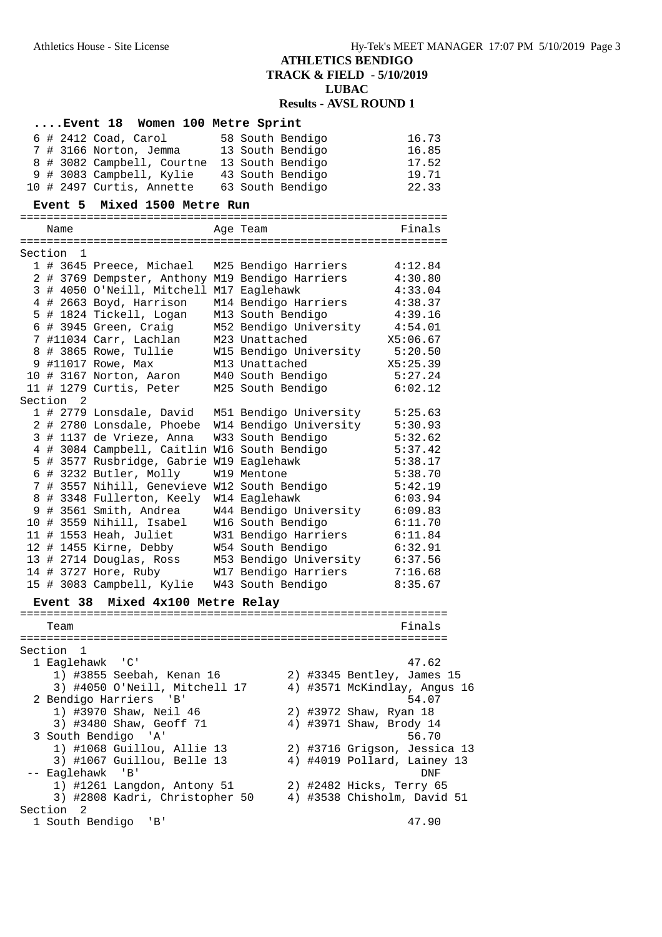| Event 18 Women 100 Metre Sprint                                             |                        |                              |
|-----------------------------------------------------------------------------|------------------------|------------------------------|
| $6$ # 2412 Coad, Carol                                                      | 58 South Bendigo       | 16.73                        |
| 7 # 3166 Norton, Jemma 13 South Bendigo                                     |                        | 16.85                        |
| 8 # 3082 Campbell, Courtne 13 South Bendigo                                 |                        | 17.52                        |
| 9 # 3083 Campbell, Kylie 43 South Bendigo                                   |                        | 19.71                        |
| 10 # 2497 Curtis, Annette                                                   | 63 South Bendigo       | 22.33                        |
| Mixed 1500 Metre Run<br>Event 5                                             |                        |                              |
| Name                                                                        | Age Team               | Finals                       |
|                                                                             |                        |                              |
| Section 1                                                                   |                        |                              |
| 1 # 3645 Preece, Michael<br>2 # 3769 Dempster, Anthony M19 Bendigo Harriers | M25 Bendigo Harriers   | 4:12.84<br>4:30.80           |
| 3 # 4050 O'Neill, Mitchell M17 Eaglehawk                                    |                        | 4:33.04                      |
| 4 # 2663 Boyd, Harrison                                                     | M14 Bendigo Harriers   | 4:38.37                      |
| 5 # 1824 Tickell, Logan                                                     | M13 South Bendigo      | 4:39.16                      |
| 6 # 3945 Green, Craig                                                       | M52 Bendigo University | 4:54.01                      |
| 7 #11034 Carr, Lachlan                                                      | M23 Unattached         | X5:06.67                     |
| 8 # 3865 Rowe, Tullie                                                       | W15 Bendigo University | 5:20.50                      |
| 9 #11017 Rowe, Max                                                          | M13 Unattached         | X5:25.39                     |
| 10 # 3167 Norton, Aaron                                                     | M40 South Bendigo      | 5:27.24                      |
| 11 # 1279 Curtis, Peter                                                     | M25 South Bendigo      | 6:02.12                      |
| Section <sub>2</sub>                                                        |                        |                              |
| 1 # 2779 Lonsdale, David M51 Bendigo University                             |                        | 5:25.63                      |
| 2 # 2780 Lonsdale, Phoebe                                                   | W14 Bendigo University | 5:30.93                      |
| 3 # 1137 de Vrieze, Anna                                                    | W33 South Bendigo      | 5:32.62                      |
| 4 # 3084 Campbell, Caitlin W16 South Bendigo                                |                        | 5:37.42                      |
| 5 # 3577 Rusbridge, Gabrie W19 Eaglehawk                                    |                        | 5:38.17                      |
| 6 # 3232 Butler, Molly<br>7 # 3557 Nihill, Genevieve W12 South Bendigo      | W19 Mentone            | 5:38.70<br>5:42.19           |
| 8 # 3348 Fullerton, Keely                                                   | W14 Eaglehawk          | 6:03.94                      |
| 9 # 3561 Smith, Andrea                                                      | W44 Bendigo University | 6:09.83                      |
| 10 # 3559 Nihill, Isabel                                                    | W16 South Bendigo      | 6:11.70                      |
| 11 # 1553 Heah, Juliet                                                      | W31 Bendigo Harriers   | 6:11.84                      |
| 12 # 1455 Kirne, Debby                                                      | W54 South Bendigo      | 6:32.91                      |
| 13 # 2714 Douglas, Ross                                                     | M53 Bendigo University | 6:37.56                      |
| 14 # 3727 Hore, Ruby                                                        | W17 Bendigo Harriers   | 7:16.68                      |
| 15 # 3083 Campbell, Kylie                                                   | W43 South Bendigo      | 8:35.67                      |
| Event 38 Mixed 4x100 Metre Relay                                            |                        |                              |
|                                                                             |                        |                              |
| Team                                                                        |                        | Finals                       |
| Section<br>ı                                                                |                        |                              |
| 1 Eaglehawk 'C'                                                             |                        | 47.62                        |
| 1) #3855 Seebah, Kenan 16                                                   |                        | 2) #3345 Bentley, James 15   |
| 3) #4050 O'Neill, Mitchell 17                                               |                        | 4) #3571 McKindlay, Angus 16 |
| 2 Bendigo Harriers 'B'                                                      |                        | 54.07                        |
| 1) #3970 Shaw, Neil 46                                                      |                        | 2) #3972 Shaw, Ryan 18       |
| 3) #3480 Shaw, Geoff 71                                                     |                        | 4) #3971 Shaw, Brody 14      |
| 3 South Bendigo 'A'                                                         |                        | 56.70                        |
| 1) #1068 Guillou, Allie 13                                                  |                        | 2) #3716 Grigson, Jessica 13 |
| 3) #1067 Guillou, Belle 13                                                  |                        | 4) #4019 Pollard, Lainey 13  |
| -- Eaglehawk<br>$\mathsf{B}$                                                |                        | DNF                          |
| 1) #1261 Langdon, Antony 51                                                 |                        | 2) #2482 Hicks, Terry 65     |
| 3) #2808 Kadri, Christopher 50                                              |                        | 4) #3538 Chisholm, David 51  |
| Section 2                                                                   |                        |                              |
| 1 South Bendigo<br>' B '                                                    |                        | 47.90                        |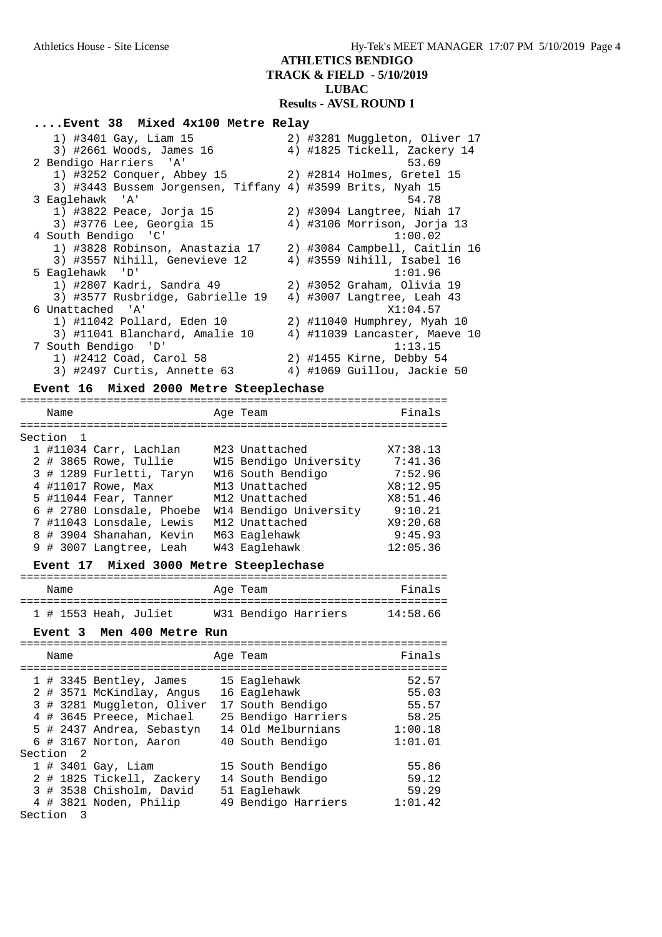# **ATHLETICS BENDIGO TRACK & FIELD - 5/10/2019**

**LUBAC**

# **Results - AVSL ROUND 1**

### **....Event 38 Mixed 4x100 Metre Relay**

| 1) #3401 Gay, Liam 15                                      | 2) #3281 Muggleton, Oliver 17 |
|------------------------------------------------------------|-------------------------------|
| 3) #2661 Woods, James 16                                   | 4) #1825 Tickell, Zackery 14  |
| 2 Bendigo Harriers 'A'                                     | 53.69                         |
| 1) #3252 Conquer, Abbey 15                                 | 2) #2814 Holmes, Gretel 15    |
| 3) #3443 Bussem Jorgensen, Tiffany 4) #3599 Brits, Nyah 15 |                               |
| 3 Eaglehawk 'A'                                            | 54.78                         |
| 1) #3822 Peace, Jorja 15                                   | 2) #3094 Langtree, Niah 17    |
| 3) #3776 Lee, Georgia 15                                   | 4) #3106 Morrison, Jorja 13   |
| 4 South Bendigo 'C'                                        | 1:00.02                       |
| 1) #3828 Robinson, Anastazia 17                            | 2) #3084 Campbell, Caitlin 16 |
| 3) #3557 Nihill, Genevieve 12                              | 4) #3559 Nihill, Isabel 16    |
| 5 Eaglehawk 'D'                                            | 1:01.96                       |
| 1) #2807 Kadri, Sandra 49                                  | 2) #3052 Graham, Olivia 19    |
| 3) #3577 Rusbridge, Gabrielle 19                           | 4) #3007 Langtree, Leah 43    |
| 6 Unattached 'A'                                           | X1:04.57                      |
| 1) #11042 Pollard, Eden 10                                 | 2) #11040 Humphrey, Myah 10   |
| 3) #11041 Blanchard, Amalie 10                             | 4) #11039 Lancaster, Maeve 10 |
| 7 South Bendigo 'D'                                        | 1:13.15                       |
| 1) #2412 Coad, Carol 58                                    | 2) #1455 Kirne, Debby 54      |
| 3) #2497 Curtis, Annette 63                                | 4) #1069 Guillou, Jackie 50   |

### **Event 16 Mixed 2000 Metre Steeplechase**

| Name    |                           | Age Team               | Finals   |
|---------|---------------------------|------------------------|----------|
| Section |                           |                        |          |
|         | 1 #11034 Carr, Lachlan    | M23 Unattached         | X7:38.13 |
|         | 2 # 3865 Rowe, Tullie     | W15 Bendigo University | 7:41.36  |
|         | 3 # 1289 Furletti, Taryn  | W16 South Bendigo      | 7:52.96  |
|         | 4 #11017 Rowe, Max        | M13 Unattached         | X8:12.95 |
|         | 5 #11044 Fear, Tanner     | M12 Unattached         | X8:51.46 |
|         | 6 # 2780 Lonsdale, Phoebe | W14 Bendigo University | 9:10.21  |
|         | 7 #11043 Lonsdale, Lewis  | M12 Unattached         | X9:20.68 |
|         | 8 # 3904 Shanahan, Kevin  | M63 Eaglehawk          | 9:45.93  |
|         | 9 # 3007 Langtree, Leah   | W43 Eaglehawk          | 12:05.36 |
|         |                           |                        |          |

# **Event 17 Mixed 3000 Metre Steeplechase**

| Name |                       | Age Team |                      | Finals   |
|------|-----------------------|----------|----------------------|----------|
|      | 1 # 1553 Heah, Juliet |          | W31 Bendigo Harriers | 14:58.66 |

### **Event 3 Men 400 Metre Run**

|         | Name      |                            | Age Team            | Finals  |
|---------|-----------|----------------------------|---------------------|---------|
|         |           | 1 # 3345 Bentley, James    | 15 Eaglehawk        | 52.57   |
|         |           | 2 # 3571 McKindlay, Angus  | 16 Eaglehawk        | 55.03   |
|         |           | 3 # 3281 Muggleton, Oliver | 17 South Bendigo    | 55.57   |
|         |           | 4 # 3645 Preece, Michael   | 25 Bendigo Harriers | 58.25   |
|         |           | 5 # 2437 Andrea, Sebastyn  | 14 Old Melburnians  | 1:00.18 |
|         |           | 6 # 3167 Norton, Aaron     | 40 South Bendigo    | 1:01.01 |
|         | Section 2 |                            |                     |         |
|         |           | $1$ # 3401 Gay, Liam       | 15 South Bendigo    | 55.86   |
|         |           | 2 # 1825 Tickell, Zackery  | 14 South Bendigo    | 59.12   |
|         |           | 3 # 3538 Chisholm, David   | 51 Eaglehawk        | 59.29   |
|         |           | 4 # 3821 Noden, Philip     | 49 Bendigo Harriers | 1:01.42 |
| Section | - 3       |                            |                     |         |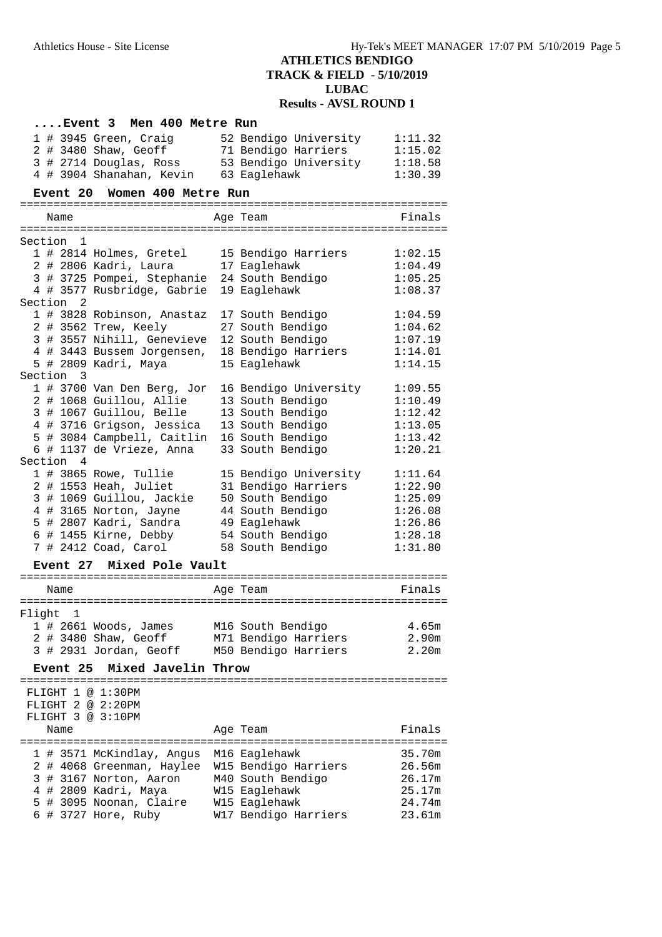|         |                 | Event 3                  | Men 400 Metre Run          |                                             |         |
|---------|-----------------|--------------------------|----------------------------|---------------------------------------------|---------|
|         |                 | $1$ # 3945 Green, Craig  |                            | 52 Bendigo University                       | 1:11.32 |
|         |                 | 2 # 3480 Shaw, Geoff     |                            | 71 Bendigo Harriers                         | 1:15.02 |
|         |                 |                          | 3 # 2714 Douglas, Ross     | 53 Bendigo University                       | 1:18.58 |
|         |                 |                          | 4 # 3904 Shanahan, Kevin   | 63 Eaglehawk                                | 1:30.39 |
|         | <b>Event 20</b> |                          | Women 400 Metre Run        |                                             |         |
|         |                 |                          |                            |                                             |         |
|         | Name            |                          |                            | Age Team                                    | Finals  |
|         |                 |                          |                            |                                             |         |
| Section | 1               |                          |                            |                                             |         |
|         |                 | 1 # 2814 Holmes, Gretel  |                            | 15 Bendigo Harriers                         | 1:02.15 |
|         |                 | 2 # 2806 Kadri, Laura    |                            | 17 Eaglehawk                                | 1:04.49 |
|         |                 |                          |                            | 3 # 3725 Pompei, Stephanie 24 South Bendigo | 1:05.25 |
|         |                 |                          | 4 # 3577 Rusbridge, Gabrie | 19 Eaglehawk                                | 1:08.37 |
|         | Section<br>2    |                          |                            |                                             |         |
|         |                 |                          | 1 # 3828 Robinson, Anastaz | 17 South Bendigo                            | 1:04.59 |
|         |                 | 2 # 3562 Trew, Keely     |                            | 27 South Bendigo                            | 1:04.62 |
|         |                 |                          | 3 # 3557 Nihill, Genevieve | 12 South Bendigo                            | 1:07.19 |
|         |                 |                          | 4 # 3443 Bussem Jorgensen, | 18 Bendigo Harriers                         | 1:14.01 |
|         |                 | 5 # 2809 Kadri, Maya     |                            | 15 Eaglehawk                                | 1:14.15 |
|         | Section<br>3    |                          |                            |                                             |         |
|         |                 |                          | 1 # 3700 Van Den Berg, Jor | 16 Bendigo University                       | 1:09.55 |
|         |                 | 2 # 1068 Guillou, Allie  |                            | 13 South Bendigo                            | 1:10.49 |
|         |                 | 3 # 1067 Guillou, Belle  |                            | 13 South Bendigo                            | 1:12.42 |
|         |                 |                          | 4 # 3716 Grigson, Jessica  | 13 South Bendigo                            | 1:13.05 |
|         |                 |                          | 5 # 3084 Campbell, Caitlin | 16 South Bendigo                            | 1:13.42 |
|         |                 | 6 # 1137 de Vrieze, Anna |                            | 33 South Bendigo                            | 1:20.21 |
|         | Section 4       |                          |                            |                                             |         |
|         |                 | 1 # 3865 Rowe, Tullie    |                            | 15 Bendigo University                       | 1:11.64 |
|         |                 | 2 # 1553 Heah, Juliet    |                            | 31 Bendigo Harriers                         | 1:22.90 |
|         |                 | 3 # 1069 Guillou, Jackie |                            | 50 South Bendigo                            | 1:25.09 |
|         |                 | 4 # 3165 Norton, Jayne   |                            | 44 South Bendigo                            | 1:26.08 |
|         |                 | 5 # 2807 Kadri, Sandra   |                            | 49 Eaglehawk                                | 1:26.86 |
|         |                 | 6 # 1455 Kirne, Debby    |                            | 54 South Bendigo                            | 1:28.18 |
|         |                 | 7 # 2412 Coad, Carol     |                            | 58 South Bendigo                            | 1:31.80 |
|         |                 |                          |                            |                                             |         |
|         | <b>Event 27</b> |                          | Mixed Pole Vault           |                                             |         |
|         | Name            |                          |                            | Age Team                                    | Finals  |
|         |                 |                          |                            |                                             |         |
| Flight  | 1               |                          |                            |                                             |         |
|         |                 | $1$ # 2661 Woods, James  |                            | M16 South Bendigo                           | 4.65m   |
|         |                 | 2 # 3480 Shaw, Geoff     |                            | M71 Bendigo Harriers                        | 2.90m   |
|         |                 | 3 # 2931 Jordan, Geoff   |                            | M50 Bendigo Harriers                        | 2.20m   |
|         |                 |                          |                            |                                             |         |
|         | <b>Event 25</b> |                          | Mixed Javelin Throw        |                                             |         |
|         |                 | FLIGHT 1 @ 1:30PM        |                            |                                             |         |
|         |                 | FLIGHT 2 @ 2:20PM        |                            |                                             |         |
|         |                 | FLIGHT 3 @ 3:10PM        |                            |                                             |         |
|         | Name            |                          |                            | Age Team                                    | Finals  |
|         |                 |                          |                            |                                             |         |
|         |                 |                          | 1 # 3571 McKindlay, Angus  | M16 Eaglehawk                               | 35.70m  |
|         |                 |                          | 2 # 4068 Greenman, Haylee  | W15 Bendigo Harriers                        | 26.56m  |
|         |                 | 3 # 3167 Norton, Aaron   |                            | M40 South Bendigo                           | 26.17m  |
|         |                 | 4 # 2809 Kadri, Maya     |                            | W15 Eaglehawk                               | 25.17m  |
|         |                 | 5 # 3095 Noonan, Claire  |                            | W15 Eaglehawk                               | 24.74m  |
|         |                 | 6 # 3727 Hore, Ruby      |                            | W17 Bendigo Harriers                        | 23.61m  |
|         |                 |                          |                            |                                             |         |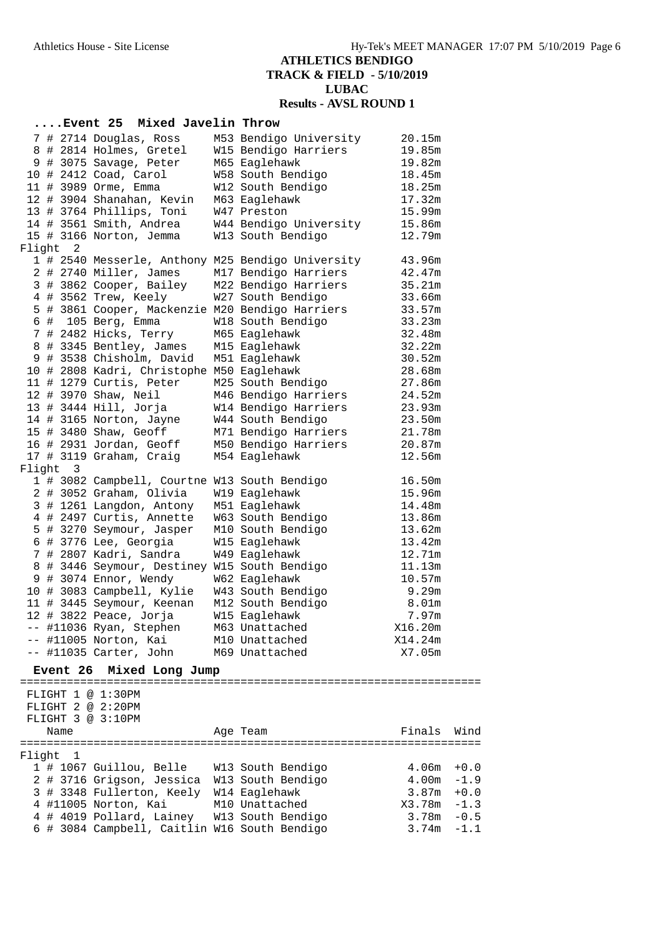|        |                 |                         | Event 25 Mixed Javelin Throw                           |                                                                           |                |        |
|--------|-----------------|-------------------------|--------------------------------------------------------|---------------------------------------------------------------------------|----------------|--------|
|        |                 |                         | 7 # 2714 Douglas, Ross                                 | M53 Bendigo University                                                    | 20.15m         |        |
|        |                 |                         | 8 # 2814 Holmes, Gretel                                | W15 Bendigo Harriers                                                      | 19.85m         |        |
|        |                 |                         | 9 # 3075 Savage, Peter                                 | M65 Eaglehawk                                                             | 19.82m         |        |
|        |                 | 10 # 2412 Coad, Carol   |                                                        | W58 South Bendigo                                                         | 18.45m         |        |
|        |                 | 11 # 3989 Orme, Emma    |                                                        | W12 South Bendigo                                                         | 18.25m         |        |
|        |                 |                         | 12 # 3904 Shanahan, Kevin                              | M63 Eaglehawk                                                             | 17.32m         |        |
|        |                 |                         | 13 # 3764 Phillips, Toni                               | W47 Preston                                                               | 15.99m         |        |
|        |                 |                         | 14 # 3561 Smith, Andrea                                | W44 Bendigo University                                                    | 15.86m         |        |
|        |                 |                         | 15 # 3166 Norton, Jemma                                | W13 South Bendigo                                                         | 12.79m         |        |
| Flight | 2               |                         |                                                        |                                                                           | 43.96m         |        |
|        |                 |                         | 2 # 2740 Miller, James                                 | 1 # 2540 Messerle, Anthony M25 Bendigo University<br>M17 Bendigo Harriers | 42.47m         |        |
|        |                 |                         | 3 # 3862 Cooper, Bailey                                | M22 Bendigo Harriers                                                      | 35.21m         |        |
|        |                 |                         | 4 # 3562 Trew, Keely                                   | W27 South Bendigo                                                         | 33.66m         |        |
|        |                 |                         |                                                        | 5 # 3861 Cooper, Mackenzie M20 Bendigo Harriers                           | 33.57m         |        |
|        |                 | 6 # 105 Berg, Emma      |                                                        | W18 South Bendigo                                                         | 33.23m         |        |
|        |                 |                         | 7 # 2482 Hicks, Terry                                  | M65 Eaglehawk                                                             | 32.48m         |        |
|        |                 |                         | 8 # 3345 Bentley, James                                | M15 Eaglehawk                                                             | 32.22m         |        |
|        |                 |                         | 9 # 3538 Chisholm, David                               | M51 Eaglehawk                                                             | 30.52m         |        |
|        |                 |                         | 10 # 2808 Kadri, Christophe M50 Eaglehawk              |                                                                           | 28.68m         |        |
|        |                 |                         | 11 # 1279 Curtis, Peter                                | M25 South Bendigo                                                         | 27.86m         |        |
|        |                 | 12 # 3970 Shaw, Neil    |                                                        | M46 Bendigo Harriers                                                      | 24.52m         |        |
|        |                 | 13 # 3444 Hill, Jorja   |                                                        | W14 Bendigo Harriers                                                      | 23.93m         |        |
|        |                 |                         | 14 # 3165 Norton, Jayne                                | W44 South Bendigo                                                         | 23.50m         |        |
|        |                 | 15 # 3480 Shaw, Geoff   |                                                        | M71 Bendigo Harriers                                                      | 21.78m         |        |
|        |                 |                         | 16 # 2931 Jordan, Geoff                                | M50 Bendigo Harriers                                                      | 20.87m         |        |
|        |                 |                         | 17 # 3119 Graham, Craig                                | M54 Eaglehawk                                                             | 12.56m         |        |
|        | Flight 3        |                         |                                                        |                                                                           |                |        |
|        |                 |                         |                                                        | 1 # 3082 Campbell, Courtne W13 South Bendigo                              | 16.50m         |        |
|        |                 |                         | 2 # 3052 Graham, Olivia                                | W19 Eaglehawk                                                             | 15.96m         |        |
|        |                 |                         | 3 # 1261 Langdon, Antony                               | M51 Eaglehawk                                                             | 14.48m         |        |
|        |                 |                         | 4 # 2497 Curtis, Annette                               | W63 South Bendigo                                                         | 13.86m         |        |
|        |                 |                         | 5 # 3270 Seymour, Jasper                               | M10 South Bendigo                                                         | 13.62m         |        |
|        |                 |                         | 6 # 3776 Lee, Georgia                                  | W15 Eaglehawk                                                             | 13.42m         |        |
|        |                 |                         | 7 # 2807 Kadri, Sandra                                 | W49 Eaglehawk                                                             | 12.71m         |        |
|        |                 |                         |                                                        | 8 # 3446 Seymour, Destiney W15 South Bendigo                              | 11.13m         |        |
|        |                 |                         | 9 # 3074 Ennor, Wendy                                  | W62 Eaglehawk                                                             | 10.57m         |        |
|        |                 |                         | 10 # 3083 Campbell, Kylie<br>11 # 3445 Seymour, Keenan | W43 South Bendigo<br>M12 South Bendigo                                    | 9.29m<br>8.01m |        |
|        |                 |                         | 12 # 3822 Peace, Jorja                                 | W15 Eaglehawk                                                             | 7.97m          |        |
|        |                 |                         | -- #11036 Ryan, Stephen                                | M63 Unattached                                                            | X16.20m        |        |
|        |                 | $--$ #11005 Norton, Kai |                                                        | M10 Unattached                                                            | X14.24m        |        |
|        |                 |                         | -- #11035 Carter, John                                 | M69 Unattached                                                            | X7.05m         |        |
|        |                 |                         |                                                        |                                                                           |                |        |
|        | <b>Event</b> 26 |                         | Mixed Long Jump                                        |                                                                           |                |        |
|        |                 | FLIGHT 1 @ 1:30PM       |                                                        |                                                                           |                |        |
|        |                 | FLIGHT 2 @ 2:20PM       |                                                        |                                                                           |                |        |
|        |                 | FLIGHT 3 @ 3:10PM       |                                                        |                                                                           |                |        |
|        | Name            |                         |                                                        | Age Team                                                                  | Finals Wind    |        |
|        |                 |                         |                                                        |                                                                           |                |        |
|        | Flight 1        |                         |                                                        |                                                                           |                |        |
|        |                 |                         |                                                        | 1 # 1067 Guillou, Belle W13 South Bendigo                                 | $4.06m + 0.0$  |        |
|        |                 |                         |                                                        | 2 # 3716 Grigson, Jessica W13 South Bendigo                               | $4.00m - 1.9$  |        |
|        |                 |                         | 3 # 3348 Fullerton, Keely W14 Eaglehawk                |                                                                           | $3.87m + 0.0$  |        |
|        |                 | 4 #11005 Norton, Kai    |                                                        | M10 Unattached                                                            | $X3.78m - 1.3$ |        |
|        |                 |                         |                                                        | 4 # 4019 Pollard, Lainey W13 South Bendigo                                | $3.78m - 0.5$  |        |
|        |                 |                         |                                                        | 6 # 3084 Campbell, Caitlin W16 South Bendigo                              | 3.74m          | $-1.1$ |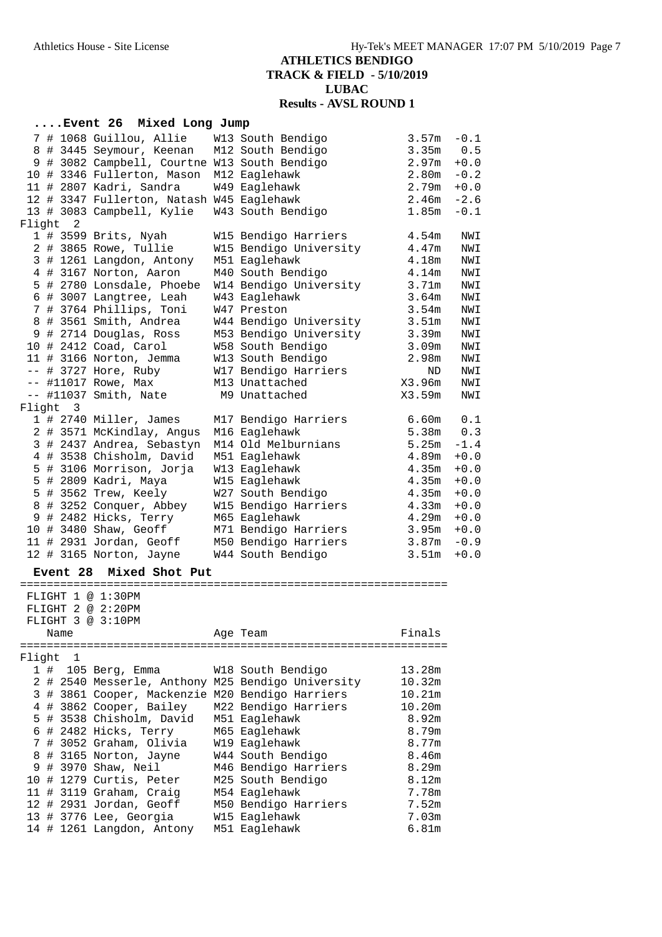### **....Event 26 Mixed Long Jump**

|        |                     | 7 # 1068 Guillou, Allie                                | W13 South Bendigo                               | 3.57m                   | $-0.1$     |
|--------|---------------------|--------------------------------------------------------|-------------------------------------------------|-------------------------|------------|
|        |                     | 8 # 3445 Seymour, Keenan                               | M12 South Bendigo                               | 3.35 <sub>m</sub>       | 0.5        |
|        |                     | 9 # 3082 Campbell, Courtne W13 South Bendigo           |                                                 | 2.97 <sub>m</sub>       | $+0.0$     |
|        |                     | 10 # 3346 Fullerton, Mason                             | M12 Eaglehawk                                   | 2.80m                   | $-0.2$     |
|        |                     | 11 # 2807 Kadri, Sandra                                | W49 Eaglehawk                                   | 2.79m                   | $+0.0$     |
|        |                     | 12 # 3347 Fullerton, Natash W45 Eaglehawk              |                                                 | 2.46m                   | $-2.6$     |
|        |                     | 13 # 3083 Campbell, Kylie                              | W43 South Bendigo                               | 1.85m                   | $-0.1$     |
| Flight | 2                   |                                                        |                                                 |                         |            |
|        |                     | 1 # 3599 Brits, Nyah                                   | W15 Bendigo Harriers                            | 4.54 <sub>m</sub>       | NWI        |
|        |                     | 2 # 3865 Rowe, Tullie                                  | W15 Bendigo University                          | 4.47m                   | NWI        |
|        |                     | 3 # 1261 Langdon, Antony                               | M51 Eaglehawk                                   | 4.18m                   | NWI        |
|        |                     | 4 # 3167 Norton, Aaron                                 | M40 South Bendigo                               | 4.14m                   | NWI        |
|        |                     | 5 # 2780 Lonsdale, Phoebe                              | W14 Bendigo University                          | 3.71m                   | NWI        |
|        |                     | 6 # 3007 Langtree, Leah                                | W43 Eaglehawk                                   | 3.64m                   | NWI        |
|        |                     | 7 # 3764 Phillips, Toni                                | W47 Preston                                     | 3.54m                   | NWI        |
|        |                     | 8 # 3561 Smith, Andrea                                 | W44 Bendigo University                          | 3.51 <sub>m</sub>       | NWI        |
|        |                     | 9 # 2714 Douglas, Ross                                 | M53 Bendigo University                          | 3.39m                   | NWI        |
|        |                     | 10 # 2412 Coad, Carol                                  | W58 South Bendigo                               | 3.09m                   | NWI        |
|        |                     | 11 # 3166 Norton, Jemma                                | W13 South Bendigo                               | 2.98m                   | NWI        |
|        |                     | $--$ # 3727 Hore, Ruby                                 | W17 Bendigo Harriers                            | ND                      | NWI        |
|        |                     | -- #11017 Rowe, Max                                    | M13 Unattached                                  | X3.96m                  | NWI        |
|        |                     | -- #11037 Smith, Nate                                  | M9 Unattached                                   | X3.59m                  | NWI        |
| Flight | 3                   |                                                        |                                                 |                         |            |
|        |                     | 1 # 2740 Miller, James                                 | M17 Bendigo Harriers                            | 6.60m<br>5.38m          | 0.1<br>0.3 |
|        |                     | 2 # 3571 McKindlay, Angus<br>3 # 2437 Andrea, Sebastyn | M16 Eaglehawk<br>M14 Old Melburnians            | 5.25m                   | $-1.4$     |
|        |                     | 4 # 3538 Chisholm, David                               | M51 Eaglehawk                                   | 4.89m                   | $+0.0$     |
|        |                     | 5 # 3106 Morrison, Jorja                               | W13 Eaglehawk                                   | 4.35m                   | $+0.0$     |
|        |                     | 5 # 2809 Kadri, Maya                                   | W15 Eaglehawk                                   | 4.35m                   | $+0.0$     |
|        |                     | 5 # 3562 Trew, Keely                                   | W27 South Bendigo                               | 4.35m                   | $+0.0$     |
|        |                     | 8 # 3252 Conquer, Abbey                                | W15 Bendigo Harriers                            | 4.33m                   | $+0.0$     |
|        |                     | 9 # 2482 Hicks, Terry                                  | M65 Eaglehawk                                   | 4.29m                   | $+0.0$     |
|        |                     | 10 # 3480 Shaw, Geoff                                  | M71 Bendigo Harriers                            | 3.95m                   | $+0.0$     |
|        |                     | 11 # 2931 Jordan, Geoff                                | M50 Bendigo Harriers                            | 3.87m                   | $-0.9$     |
|        |                     | 12 # 3165 Norton, Jayne                                | W44 South Bendigo                               | 3.51 <sub>m</sub>       | $+0.0$     |
|        |                     |                                                        |                                                 |                         |            |
|        | <b>Event 28</b>     | Mixed Shot Put                                         |                                                 |                         |            |
|        |                     |                                                        |                                                 |                         |            |
|        |                     | FLIGHT 1 @ 1:30PM                                      |                                                 |                         |            |
|        |                     | FLIGHT 2 @ 2:20PM                                      |                                                 |                         |            |
|        |                     | FLIGHT 3 @ 3:10PM                                      |                                                 |                         |            |
|        | Name<br>:========== |                                                        | Age Team<br>--------------                      | Finals<br>============= |            |
| Flight | 1                   |                                                        |                                                 |                         |            |
| 1#     |                     | 105 Berg, Emma                                         | W18 South Bendigo                               | 13.28m                  |            |
| 2      |                     |                                                        | # 2540 Messerle, Anthony M25 Bendigo University | 10.32m                  |            |
| 3      |                     | # 3861 Cooper, Mackenzie M20 Bendigo Harriers          |                                                 | 10.21m                  |            |
|        |                     | 4 # 3862 Cooper, Bailey                                | M22 Bendigo Harriers                            | 10.20m                  |            |
| 5      |                     | # 3538 Chisholm, David                                 | M51 Eaglehawk                                   | 8.92m                   |            |
|        |                     | 6 # 2482 Hicks, Terry                                  | M65 Eaglehawk                                   | 8.79m                   |            |
|        |                     |                                                        |                                                 |                         |            |

 7 # 3052 Graham, Olivia W19 Eaglehawk 8.77m 8 # 3165 Norton, Jayne W44 South Bendigo 8.46m 9 # 3970 Shaw, Neil M46 Bendigo Harriers 8.29m 10 # 1279 Curtis, Peter M25 South Bendigo 8.12m 11 # 3119 Graham, Craig M54 Eaglehawk 7.78m 12 # 2931 Jordan, Geoff M50 Bendigo Harriers 7.52m 13 # 3776 Lee, Georgia W15 Eaglehawk 7.03m 14 # 1261 Langdon, Antony M51 Eaglehawk 6.81m